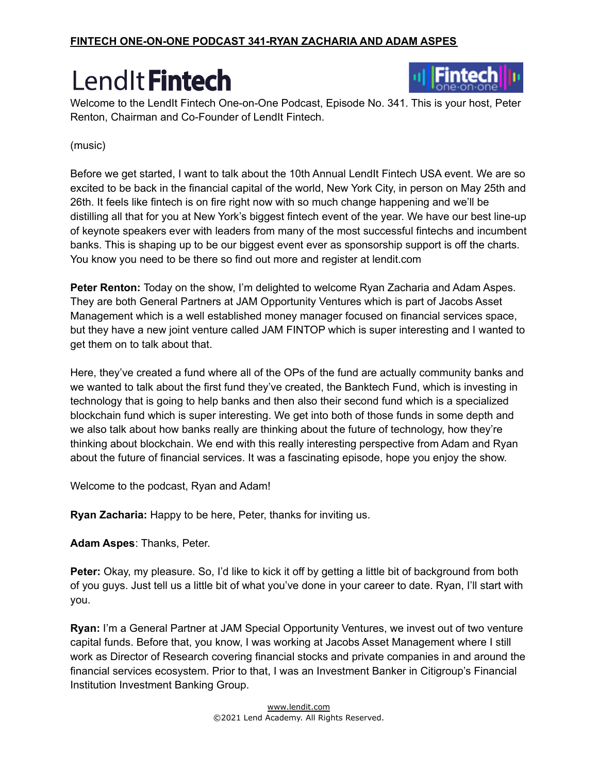

Welcome to the LendIt Fintech One-on-One Podcast, Episode No. 341. This is your host, Peter Renton, Chairman and Co-Founder of LendIt Fintech.

#### (music)

Before we get started, I want to talk about the 10th Annual LendIt Fintech USA event. We are so excited to be back in the financial capital of the world, New York City, in person on May 25th and 26th. It feels like fintech is on fire right now with so much change happening and we'll be distilling all that for you at New York's biggest fintech event of the year. We have our best line-up of keynote speakers ever with leaders from many of the most successful fintechs and incumbent banks. This is shaping up to be our biggest event ever as sponsorship support is off the charts. You know you need to be there so find out more and register at lendit.com

**Peter Renton:** Today on the show, I'm delighted to welcome Ryan Zacharia and Adam Aspes. They are both General Partners at JAM Opportunity Ventures which is part of Jacobs Asset Management which is a well established money manager focused on financial services space, but they have a new joint venture called JAM FINTOP which is super interesting and I wanted to get them on to talk about that.

Here, they've created a fund where all of the OPs of the fund are actually community banks and we wanted to talk about the first fund they've created, the Banktech Fund, which is investing in technology that is going to help banks and then also their second fund which is a specialized blockchain fund which is super interesting. We get into both of those funds in some depth and we also talk about how banks really are thinking about the future of technology, how they're thinking about blockchain. We end with this really interesting perspective from Adam and Ryan about the future of financial services. It was a fascinating episode, hope you enjoy the show.

Welcome to the podcast, Ryan and Adam!

**Ryan Zacharia:** Happy to be here, Peter, thanks for inviting us.

**Adam Aspes**: Thanks, Peter.

**Peter:** Okay, my pleasure. So, I'd like to kick it off by getting a little bit of background from both of you guys. Just tell us a little bit of what you've done in your career to date. Ryan, I'll start with you.

**Ryan:** I'm a General Partner at JAM Special Opportunity Ventures, we invest out of two venture capital funds. Before that, you know, I was working at Jacobs Asset Management where I still work as Director of Research covering financial stocks and private companies in and around the financial services ecosystem. Prior to that, I was an Investment Banker in Citigroup's Financial Institution Investment Banking Group.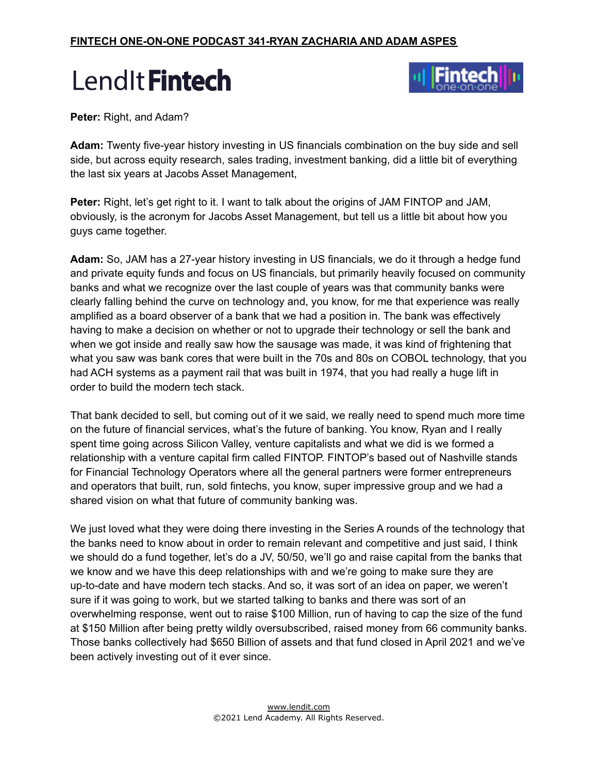

**Peter:** Right, and Adam?

**Adam:** Twenty five-year history investing in US financials combination on the buy side and sell side, but across equity research, sales trading, investment banking, did a little bit of everything the last six years at Jacobs Asset Management,

**Peter:** Right, let's get right to it. I want to talk about the origins of JAM FINTOP and JAM, obviously, is the acronym for Jacobs Asset Management, but tell us a little bit about how you guys came together.

**Adam:** So, JAM has a 27-year history investing in US financials, we do it through a hedge fund and private equity funds and focus on US financials, but primarily heavily focused on community banks and what we recognize over the last couple of years was that community banks were clearly falling behind the curve on technology and, you know, for me that experience was really amplified as a board observer of a bank that we had a position in. The bank was effectively having to make a decision on whether or not to upgrade their technology or sell the bank and when we got inside and really saw how the sausage was made, it was kind of frightening that what you saw was bank cores that were built in the 70s and 80s on COBOL technology, that you had ACH systems as a payment rail that was built in 1974, that you had really a huge lift in order to build the modern tech stack.

That bank decided to sell, but coming out of it we said, we really need to spend much more time on the future of financial services, what's the future of banking. You know, Ryan and I really spent time going across Silicon Valley, venture capitalists and what we did is we formed a relationship with a venture capital firm called FINTOP. FINTOP's based out of Nashville stands for Financial Technology Operators where all the general partners were former entrepreneurs and operators that built, run, sold fintechs, you know, super impressive group and we had a shared vision on what that future of community banking was.

We just loved what they were doing there investing in the Series A rounds of the technology that the banks need to know about in order to remain relevant and competitive and just said, I think we should do a fund together, let's do a JV, 50/50, we'll go and raise capital from the banks that we know and we have this deep relationships with and we're going to make sure they are up-to-date and have modern tech stacks. And so, it was sort of an idea on paper, we weren't sure if it was going to work, but we started talking to banks and there was sort of an overwhelming response, went out to raise \$100 Million, run of having to cap the size of the fund at \$150 Million after being pretty wildly oversubscribed, raised money from 66 community banks. Those banks collectively had \$650 Billion of assets and that fund closed in April 2021 and we've been actively investing out of it ever since.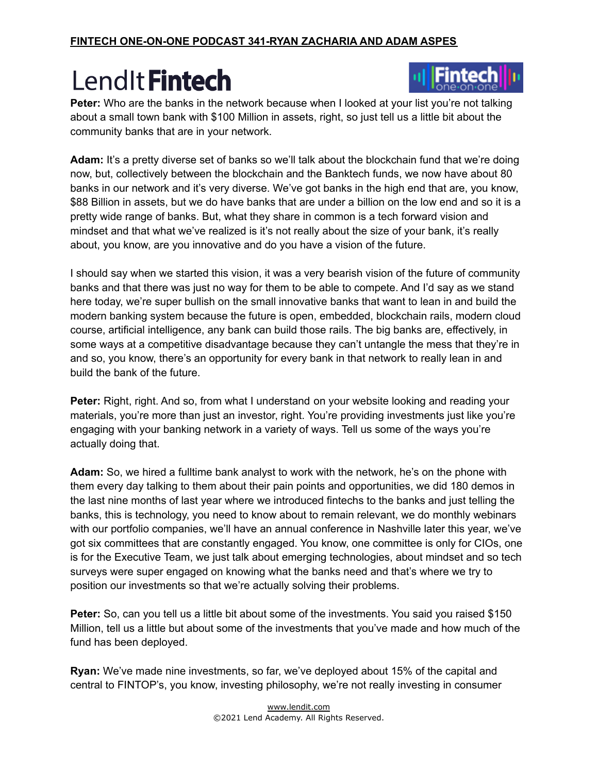

Peter: Who are the banks in the network because when I looked at your list you're not talking about a small town bank with \$100 Million in assets, right, so just tell us a little bit about the community banks that are in your network.

**Adam:** It's a pretty diverse set of banks so we'll talk about the blockchain fund that we're doing now, but, collectively between the blockchain and the Banktech funds, we now have about 80 banks in our network and it's very diverse. We've got banks in the high end that are, you know, \$88 Billion in assets, but we do have banks that are under a billion on the low end and so it is a pretty wide range of banks. But, what they share in common is a tech forward vision and mindset and that what we've realized is it's not really about the size of your bank, it's really about, you know, are you innovative and do you have a vision of the future.

I should say when we started this vision, it was a very bearish vision of the future of community banks and that there was just no way for them to be able to compete. And I'd say as we stand here today, we're super bullish on the small innovative banks that want to lean in and build the modern banking system because the future is open, embedded, blockchain rails, modern cloud course, artificial intelligence, any bank can build those rails. The big banks are, effectively, in some ways at a competitive disadvantage because they can't untangle the mess that they're in and so, you know, there's an opportunity for every bank in that network to really lean in and build the bank of the future.

**Peter:** Right, right. And so, from what I understand on your website looking and reading your materials, you're more than just an investor, right. You're providing investments just like you're engaging with your banking network in a variety of ways. Tell us some of the ways you're actually doing that.

**Adam:** So, we hired a fulltime bank analyst to work with the network, he's on the phone with them every day talking to them about their pain points and opportunities, we did 180 demos in the last nine months of last year where we introduced fintechs to the banks and just telling the banks, this is technology, you need to know about to remain relevant, we do monthly webinars with our portfolio companies, we'll have an annual conference in Nashville later this year, we've got six committees that are constantly engaged. You know, one committee is only for CIOs, one is for the Executive Team, we just talk about emerging technologies, about mindset and so tech surveys were super engaged on knowing what the banks need and that's where we try to position our investments so that we're actually solving their problems.

**Peter:** So, can you tell us a little bit about some of the investments. You said you raised \$150 Million, tell us a little but about some of the investments that you've made and how much of the fund has been deployed.

**Ryan:** We've made nine investments, so far, we've deployed about 15% of the capital and central to FINTOP's, you know, investing philosophy, we're not really investing in consumer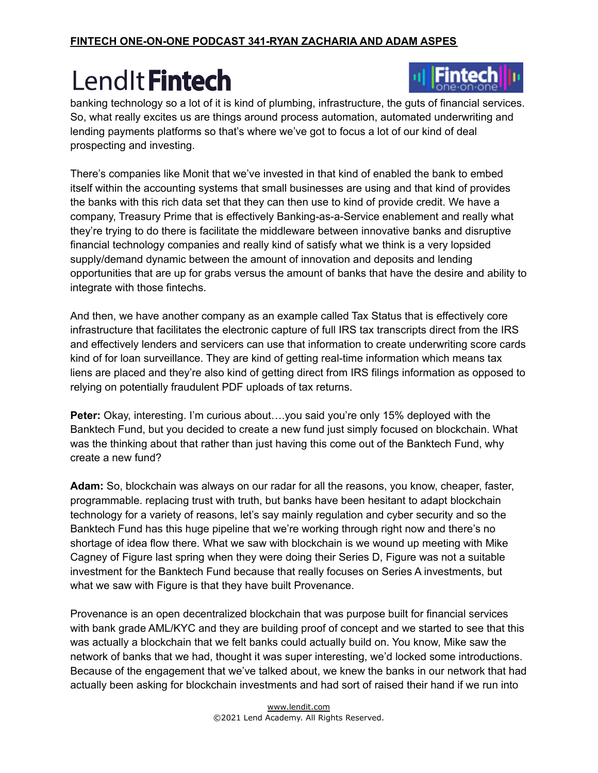

banking technology so a lot of it is kind of plumbing, infrastructure, the guts of financial services. So, what really excites us are things around process automation, automated underwriting and lending payments platforms so that's where we've got to focus a lot of our kind of deal prospecting and investing.

There's companies like Monit that we've invested in that kind of enabled the bank to embed itself within the accounting systems that small businesses are using and that kind of provides the banks with this rich data set that they can then use to kind of provide credit. We have a company, Treasury Prime that is effectively Banking-as-a-Service enablement and really what they're trying to do there is facilitate the middleware between innovative banks and disruptive financial technology companies and really kind of satisfy what we think is a very lopsided supply/demand dynamic between the amount of innovation and deposits and lending opportunities that are up for grabs versus the amount of banks that have the desire and ability to integrate with those fintechs.

And then, we have another company as an example called Tax Status that is effectively core infrastructure that facilitates the electronic capture of full IRS tax transcripts direct from the IRS and effectively lenders and servicers can use that information to create underwriting score cards kind of for loan surveillance. They are kind of getting real-time information which means tax liens are placed and they're also kind of getting direct from IRS filings information as opposed to relying on potentially fraudulent PDF uploads of tax returns.

**Peter:** Okay, interesting. I'm curious about….you said you're only 15% deployed with the Banktech Fund, but you decided to create a new fund just simply focused on blockchain. What was the thinking about that rather than just having this come out of the Banktech Fund, why create a new fund?

**Adam:** So, blockchain was always on our radar for all the reasons, you know, cheaper, faster, programmable. replacing trust with truth, but banks have been hesitant to adapt blockchain technology for a variety of reasons, let's say mainly regulation and cyber security and so the Banktech Fund has this huge pipeline that we're working through right now and there's no shortage of idea flow there. What we saw with blockchain is we wound up meeting with Mike Cagney of Figure last spring when they were doing their Series D, Figure was not a suitable investment for the Banktech Fund because that really focuses on Series A investments, but what we saw with Figure is that they have built Provenance.

Provenance is an open decentralized blockchain that was purpose built for financial services with bank grade AML/KYC and they are building proof of concept and we started to see that this was actually a blockchain that we felt banks could actually build on. You know, Mike saw the network of banks that we had, thought it was super interesting, we'd locked some introductions. Because of the engagement that we've talked about, we knew the banks in our network that had actually been asking for blockchain investments and had sort of raised their hand if we run into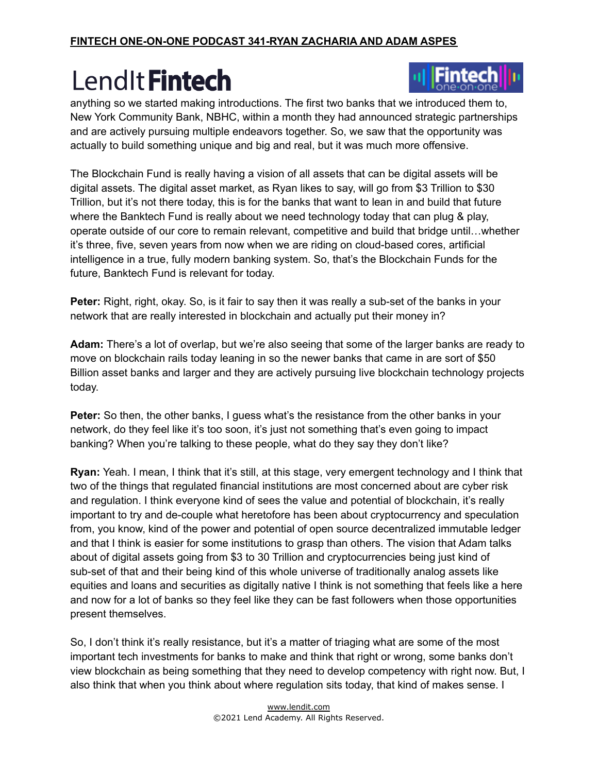

anything so we started making introductions. The first two banks that we introduced them to, New York Community Bank, NBHC, within a month they had announced strategic partnerships and are actively pursuing multiple endeavors together. So, we saw that the opportunity was actually to build something unique and big and real, but it was much more offensive.

The Blockchain Fund is really having a vision of all assets that can be digital assets will be digital assets. The digital asset market, as Ryan likes to say, will go from \$3 Trillion to \$30 Trillion, but it's not there today, this is for the banks that want to lean in and build that future where the Banktech Fund is really about we need technology today that can plug & play, operate outside of our core to remain relevant, competitive and build that bridge until…whether it's three, five, seven years from now when we are riding on cloud-based cores, artificial intelligence in a true, fully modern banking system. So, that's the Blockchain Funds for the future, Banktech Fund is relevant for today.

**Peter:** Right, right, okay. So, is it fair to say then it was really a sub-set of the banks in your network that are really interested in blockchain and actually put their money in?

**Adam:** There's a lot of overlap, but we're also seeing that some of the larger banks are ready to move on blockchain rails today leaning in so the newer banks that came in are sort of \$50 Billion asset banks and larger and they are actively pursuing live blockchain technology projects today.

**Peter:** So then, the other banks, I guess what's the resistance from the other banks in your network, do they feel like it's too soon, it's just not something that's even going to impact banking? When you're talking to these people, what do they say they don't like?

**Ryan:** Yeah. I mean, I think that it's still, at this stage, very emergent technology and I think that two of the things that regulated financial institutions are most concerned about are cyber risk and regulation. I think everyone kind of sees the value and potential of blockchain, it's really important to try and de-couple what heretofore has been about cryptocurrency and speculation from, you know, kind of the power and potential of open source decentralized immutable ledger and that I think is easier for some institutions to grasp than others. The vision that Adam talks about of digital assets going from \$3 to 30 Trillion and cryptocurrencies being just kind of sub-set of that and their being kind of this whole universe of traditionally analog assets like equities and loans and securities as digitally native I think is not something that feels like a here and now for a lot of banks so they feel like they can be fast followers when those opportunities present themselves.

So, I don't think it's really resistance, but it's a matter of triaging what are some of the most important tech investments for banks to make and think that right or wrong, some banks don't view blockchain as being something that they need to develop competency with right now. But, I also think that when you think about where regulation sits today, that kind of makes sense. I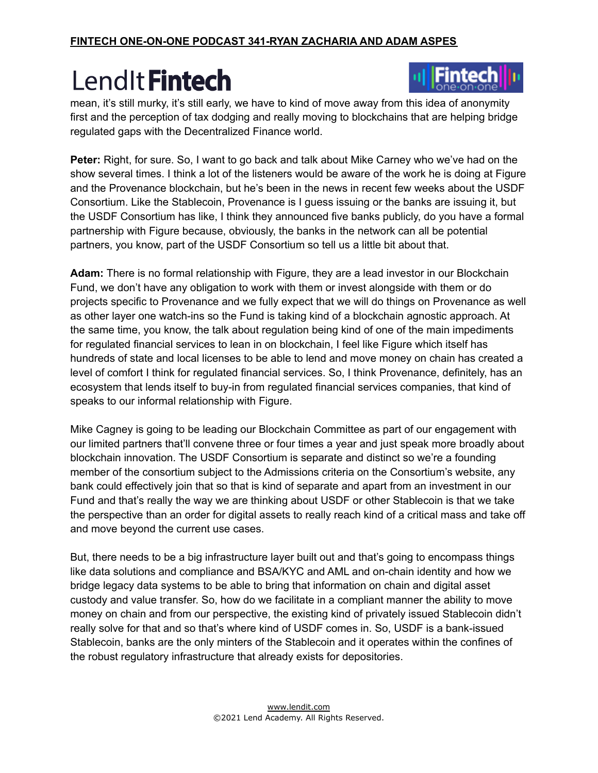

mean, it's still murky, it's still early, we have to kind of move away from this idea of anonymity first and the perception of tax dodging and really moving to blockchains that are helping bridge regulated gaps with the Decentralized Finance world.

**Peter:** Right, for sure. So, I want to go back and talk about Mike Carney who we've had on the show several times. I think a lot of the listeners would be aware of the work he is doing at Figure and the Provenance blockchain, but he's been in the news in recent few weeks about the USDF Consortium. Like the Stablecoin, Provenance is I guess issuing or the banks are issuing it, but the USDF Consortium has like, I think they announced five banks publicly, do you have a formal partnership with Figure because, obviously, the banks in the network can all be potential partners, you know, part of the USDF Consortium so tell us a little bit about that.

**Adam:** There is no formal relationship with Figure, they are a lead investor in our Blockchain Fund, we don't have any obligation to work with them or invest alongside with them or do projects specific to Provenance and we fully expect that we will do things on Provenance as well as other layer one watch-ins so the Fund is taking kind of a blockchain agnostic approach. At the same time, you know, the talk about regulation being kind of one of the main impediments for regulated financial services to lean in on blockchain, I feel like Figure which itself has hundreds of state and local licenses to be able to lend and move money on chain has created a level of comfort I think for regulated financial services. So, I think Provenance, definitely, has an ecosystem that lends itself to buy-in from regulated financial services companies, that kind of speaks to our informal relationship with Figure.

Mike Cagney is going to be leading our Blockchain Committee as part of our engagement with our limited partners that'll convene three or four times a year and just speak more broadly about blockchain innovation. The USDF Consortium is separate and distinct so we're a founding member of the consortium subject to the Admissions criteria on the Consortium's website, any bank could effectively join that so that is kind of separate and apart from an investment in our Fund and that's really the way we are thinking about USDF or other Stablecoin is that we take the perspective than an order for digital assets to really reach kind of a critical mass and take off and move beyond the current use cases.

But, there needs to be a big infrastructure layer built out and that's going to encompass things like data solutions and compliance and BSA/KYC and AML and on-chain identity and how we bridge legacy data systems to be able to bring that information on chain and digital asset custody and value transfer. So, how do we facilitate in a compliant manner the ability to move money on chain and from our perspective, the existing kind of privately issued Stablecoin didn't really solve for that and so that's where kind of USDF comes in. So, USDF is a bank-issued Stablecoin, banks are the only minters of the Stablecoin and it operates within the confines of the robust regulatory infrastructure that already exists for depositories.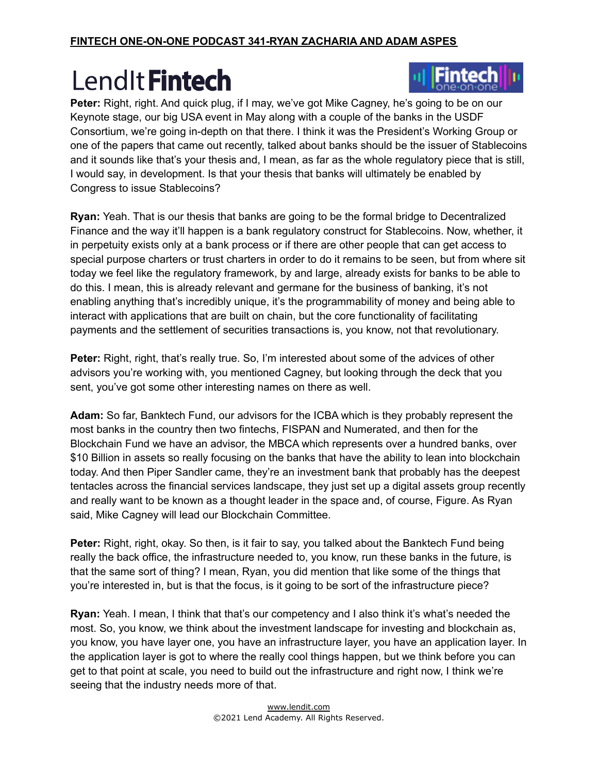

**Peter:** Right, right. And quick plug, if I may, we've got Mike Cagney, he's going to be on our Keynote stage, our big USA event in May along with a couple of the banks in the USDF Consortium, we're going in-depth on that there. I think it was the President's Working Group or one of the papers that came out recently, talked about banks should be the issuer of Stablecoins and it sounds like that's your thesis and, I mean, as far as the whole regulatory piece that is still, I would say, in development. Is that your thesis that banks will ultimately be enabled by Congress to issue Stablecoins?

**Ryan:** Yeah. That is our thesis that banks are going to be the formal bridge to Decentralized Finance and the way it'll happen is a bank regulatory construct for Stablecoins. Now, whether, it in perpetuity exists only at a bank process or if there are other people that can get access to special purpose charters or trust charters in order to do it remains to be seen, but from where sit today we feel like the regulatory framework, by and large, already exists for banks to be able to do this. I mean, this is already relevant and germane for the business of banking, it's not enabling anything that's incredibly unique, it's the programmability of money and being able to interact with applications that are built on chain, but the core functionality of facilitating payments and the settlement of securities transactions is, you know, not that revolutionary.

**Peter:** Right, right, that's really true. So, I'm interested about some of the advices of other advisors you're working with, you mentioned Cagney, but looking through the deck that you sent, you've got some other interesting names on there as well.

**Adam:** So far, Banktech Fund, our advisors for the ICBA which is they probably represent the most banks in the country then two fintechs, FISPAN and Numerated, and then for the Blockchain Fund we have an advisor, the MBCA which represents over a hundred banks, over \$10 Billion in assets so really focusing on the banks that have the ability to lean into blockchain today. And then Piper Sandler came, they're an investment bank that probably has the deepest tentacles across the financial services landscape, they just set up a digital assets group recently and really want to be known as a thought leader in the space and, of course, Figure. As Ryan said, Mike Cagney will lead our Blockchain Committee.

**Peter:** Right, right, okay. So then, is it fair to say, you talked about the Banktech Fund being really the back office, the infrastructure needed to, you know, run these banks in the future, is that the same sort of thing? I mean, Ryan, you did mention that like some of the things that you're interested in, but is that the focus, is it going to be sort of the infrastructure piece?

**Ryan:** Yeah. I mean, I think that that's our competency and I also think it's what's needed the most. So, you know, we think about the investment landscape for investing and blockchain as, you know, you have layer one, you have an infrastructure layer, you have an application layer. In the application layer is got to where the really cool things happen, but we think before you can get to that point at scale, you need to build out the infrastructure and right now, I think we're seeing that the industry needs more of that.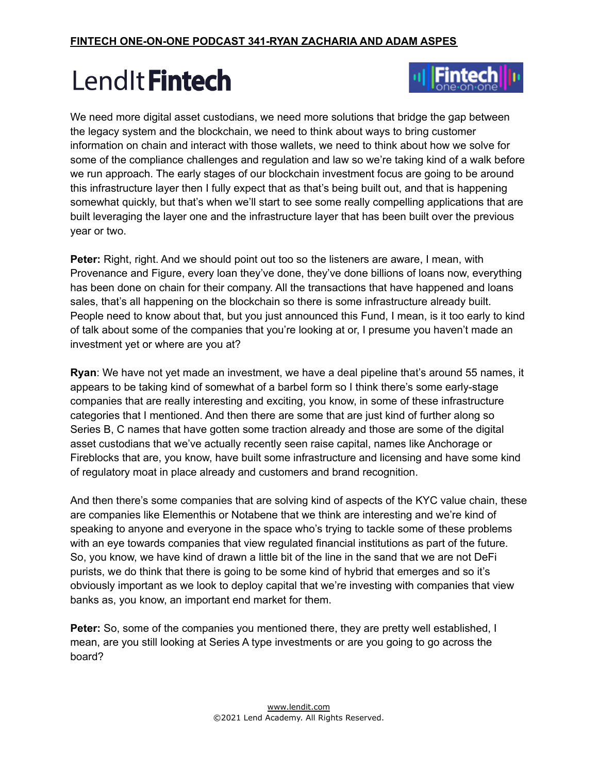

We need more digital asset custodians, we need more solutions that bridge the gap between the legacy system and the blockchain, we need to think about ways to bring customer information on chain and interact with those wallets, we need to think about how we solve for some of the compliance challenges and regulation and law so we're taking kind of a walk before we run approach. The early stages of our blockchain investment focus are going to be around this infrastructure layer then I fully expect that as that's being built out, and that is happening somewhat quickly, but that's when we'll start to see some really compelling applications that are built leveraging the layer one and the infrastructure layer that has been built over the previous year or two.

**Peter:** Right, right. And we should point out too so the listeners are aware, I mean, with Provenance and Figure, every loan they've done, they've done billions of loans now, everything has been done on chain for their company. All the transactions that have happened and loans sales, that's all happening on the blockchain so there is some infrastructure already built. People need to know about that, but you just announced this Fund, I mean, is it too early to kind of talk about some of the companies that you're looking at or, I presume you haven't made an investment yet or where are you at?

**Ryan**: We have not yet made an investment, we have a deal pipeline that's around 55 names, it appears to be taking kind of somewhat of a barbel form so I think there's some early-stage companies that are really interesting and exciting, you know, in some of these infrastructure categories that I mentioned. And then there are some that are just kind of further along so Series B, C names that have gotten some traction already and those are some of the digital asset custodians that we've actually recently seen raise capital, names like Anchorage or Fireblocks that are, you know, have built some infrastructure and licensing and have some kind of regulatory moat in place already and customers and brand recognition.

And then there's some companies that are solving kind of aspects of the KYC value chain, these are companies like Elementhis or Notabene that we think are interesting and we're kind of speaking to anyone and everyone in the space who's trying to tackle some of these problems with an eye towards companies that view regulated financial institutions as part of the future. So, you know, we have kind of drawn a little bit of the line in the sand that we are not DeFi purists, we do think that there is going to be some kind of hybrid that emerges and so it's obviously important as we look to deploy capital that we're investing with companies that view banks as, you know, an important end market for them.

**Peter:** So, some of the companies you mentioned there, they are pretty well established, I mean, are you still looking at Series A type investments or are you going to go across the board?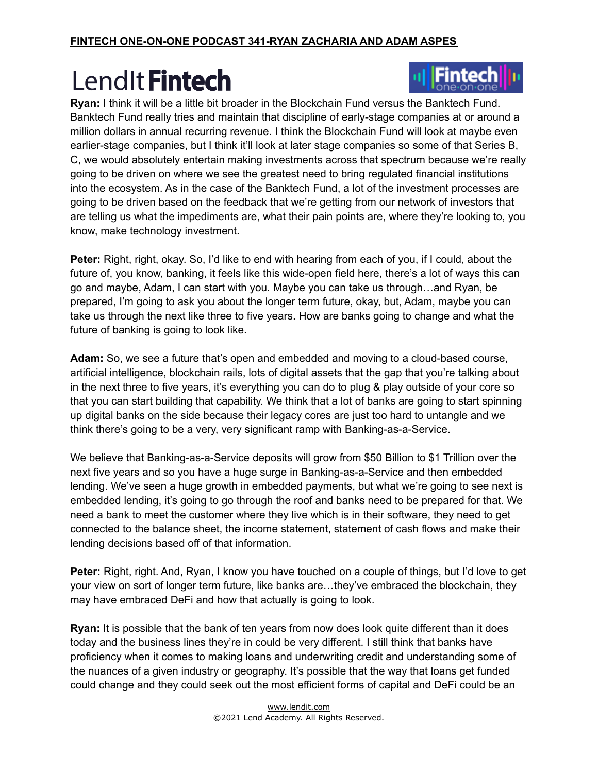

**Ryan:** I think it will be a little bit broader in the Blockchain Fund versus the Banktech Fund. Banktech Fund really tries and maintain that discipline of early-stage companies at or around a million dollars in annual recurring revenue. I think the Blockchain Fund will look at maybe even earlier-stage companies, but I think it'll look at later stage companies so some of that Series B, C, we would absolutely entertain making investments across that spectrum because we're really going to be driven on where we see the greatest need to bring regulated financial institutions into the ecosystem. As in the case of the Banktech Fund, a lot of the investment processes are going to be driven based on the feedback that we're getting from our network of investors that are telling us what the impediments are, what their pain points are, where they're looking to, you know, make technology investment.

**Peter:** Right, right, okay. So, I'd like to end with hearing from each of you, if I could, about the future of, you know, banking, it feels like this wide-open field here, there's a lot of ways this can go and maybe, Adam, I can start with you. Maybe you can take us through…and Ryan, be prepared, I'm going to ask you about the longer term future, okay, but, Adam, maybe you can take us through the next like three to five years. How are banks going to change and what the future of banking is going to look like.

**Adam:** So, we see a future that's open and embedded and moving to a cloud-based course, artificial intelligence, blockchain rails, lots of digital assets that the gap that you're talking about in the next three to five years, it's everything you can do to plug & play outside of your core so that you can start building that capability. We think that a lot of banks are going to start spinning up digital banks on the side because their legacy cores are just too hard to untangle and we think there's going to be a very, very significant ramp with Banking-as-a-Service.

We believe that Banking-as-a-Service deposits will grow from \$50 Billion to \$1 Trillion over the next five years and so you have a huge surge in Banking-as-a-Service and then embedded lending. We've seen a huge growth in embedded payments, but what we're going to see next is embedded lending, it's going to go through the roof and banks need to be prepared for that. We need a bank to meet the customer where they live which is in their software, they need to get connected to the balance sheet, the income statement, statement of cash flows and make their lending decisions based off of that information.

**Peter:** Right, right. And, Ryan, I know you have touched on a couple of things, but I'd love to get your view on sort of longer term future, like banks are…they've embraced the blockchain, they may have embraced DeFi and how that actually is going to look.

**Ryan:** It is possible that the bank of ten years from now does look quite different than it does today and the business lines they're in could be very different. I still think that banks have proficiency when it comes to making loans and underwriting credit and understanding some of the nuances of a given industry or geography. It's possible that the way that loans get funded could change and they could seek out the most efficient forms of capital and DeFi could be an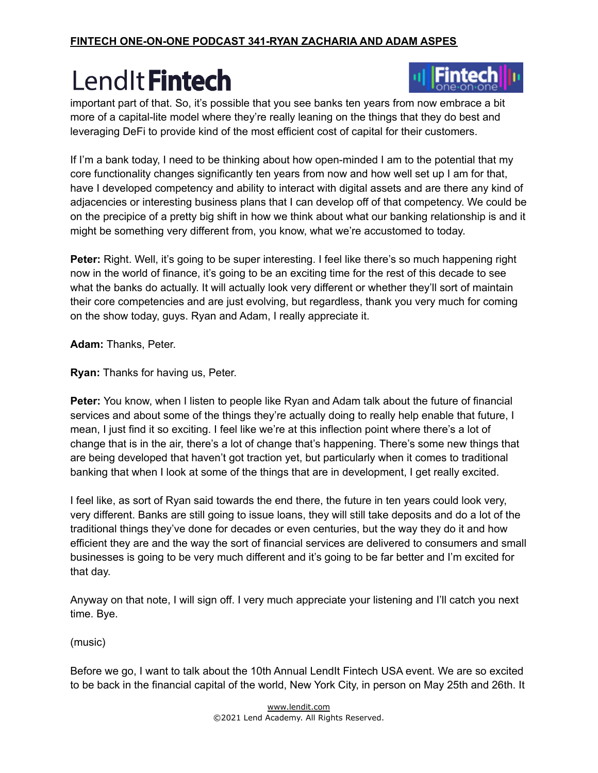

important part of that. So, it's possible that you see banks ten years from now embrace a bit more of a capital-lite model where they're really leaning on the things that they do best and leveraging DeFi to provide kind of the most efficient cost of capital for their customers.

If I'm a bank today, I need to be thinking about how open-minded I am to the potential that my core functionality changes significantly ten years from now and how well set up I am for that, have I developed competency and ability to interact with digital assets and are there any kind of adjacencies or interesting business plans that I can develop off of that competency. We could be on the precipice of a pretty big shift in how we think about what our banking relationship is and it might be something very different from, you know, what we're accustomed to today.

**Peter:** Right. Well, it's going to be super interesting. I feel like there's so much happening right now in the world of finance, it's going to be an exciting time for the rest of this decade to see what the banks do actually. It will actually look very different or whether they'll sort of maintain their core competencies and are just evolving, but regardless, thank you very much for coming on the show today, guys. Ryan and Adam, I really appreciate it.

**Adam:** Thanks, Peter.

**Ryan:** Thanks for having us, Peter.

**Peter:** You know, when I listen to people like Ryan and Adam talk about the future of financial services and about some of the things they're actually doing to really help enable that future, I mean, I just find it so exciting. I feel like we're at this inflection point where there's a lot of change that is in the air, there's a lot of change that's happening. There's some new things that are being developed that haven't got traction yet, but particularly when it comes to traditional banking that when I look at some of the things that are in development, I get really excited.

I feel like, as sort of Ryan said towards the end there, the future in ten years could look very, very different. Banks are still going to issue loans, they will still take deposits and do a lot of the traditional things they've done for decades or even centuries, but the way they do it and how efficient they are and the way the sort of financial services are delivered to consumers and small businesses is going to be very much different and it's going to be far better and I'm excited for that day.

Anyway on that note, I will sign off. I very much appreciate your listening and I'll catch you next time. Bye.

(music)

Before we go, I want to talk about the 10th Annual LendIt Fintech USA event. We are so excited to be back in the financial capital of the world, New York City, in person on May 25th and 26th. It